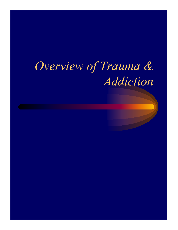## *Overview of Trauma & Addiction*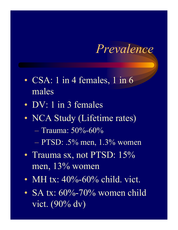### *Prevalence*

- CSA: 1 in 4 females, 1 in 6 males
- DV: 1 in 3 females
- NCA Study (Lifetime rates)
	- $-$  Trauma: 50%-60%
	- $-$  PTSD: .5% men, 1.3% women
- Trauma sx, not PTSD: 15% men, 13% women
- MH tx:  $40\% 60\%$  child. vict.
- SA tx:  $60\% 70\%$  women child vict.  $(90\% \mathrm{d}v)$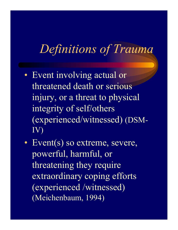## *Definitions of Trauma*

- Event involving actual or threatened death or serious injury, or a threat to physical integrity of self/others (experienced/witnessed) (DSM-IV)
- Event(s) so extreme, severe, powerful, harmful, or threatening they require extraordinary coping efforts (experienced /witnessed) (Meichenbaum, 1994)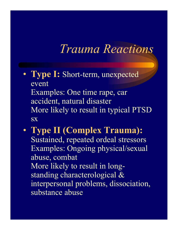### *Trauma Reactions*

- **Type I:** Short-term, unexpected event Examples: One time rape, car accident, natural disaster More likely to result in typical PTSD **SX**
- **Type II (Complex Trauma):** Sustained, repeated ordeal stressors Examples: Ongoing physical/sexual abuse, combat More likely to result in longstanding characterological & interpersonal problems, dissociation, substance abuse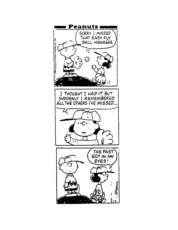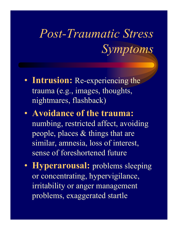# *Post-Traumatic Stress Symptoms*

- **Intrusion:** Re-experiencing the trauma (e.g., images, thoughts, nightmares, flashback)
- **Avoidance of the trauma:** numbing, restricted affect, avoiding people, places & things that are similar, amnesia, loss of interest, sense of foreshortened future
- **Hyperarousal:** problems sleeping or concentrating, hypervigilance, irritability or anger management problems, exaggerated startle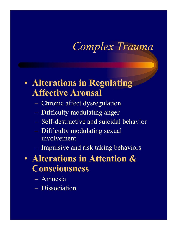### *Complex Trauma*

#### • **Alterations in Regulating Affective Arousal**

- Chronic affect dysregulation
- Difficulty modulating anger
- Self-destructive and suicidal behavior
- Difficulty modulating sexual involvement
- Impulsive and risk taking behaviors

#### • **Alterations in Attention & Consciousness**

- Amnesia
- Dissociation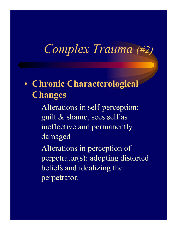## *Complex Trauma (#2)*

#### • **Chronic Characterological Changes**

- Alterations in self-perception: guilt & shame, sees self as ineffective and permanently damaged
- Alterations in perception of perpetrator(s): adopting distorted beliefs and idealizing the perpetrator.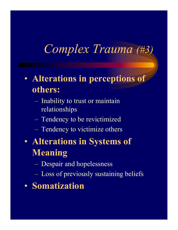## *Complex Trauma (#3)*

- **Alterations in perceptions of others:**
	- Inability to trust or maintain relationships
	- Tendency to be revictimized
	- Tendency to victimize others
- **Alterations in Systems of Meaning**
	- Despair and hopelessness
	- Loss of previously sustaining beliefs
- **Somatization**